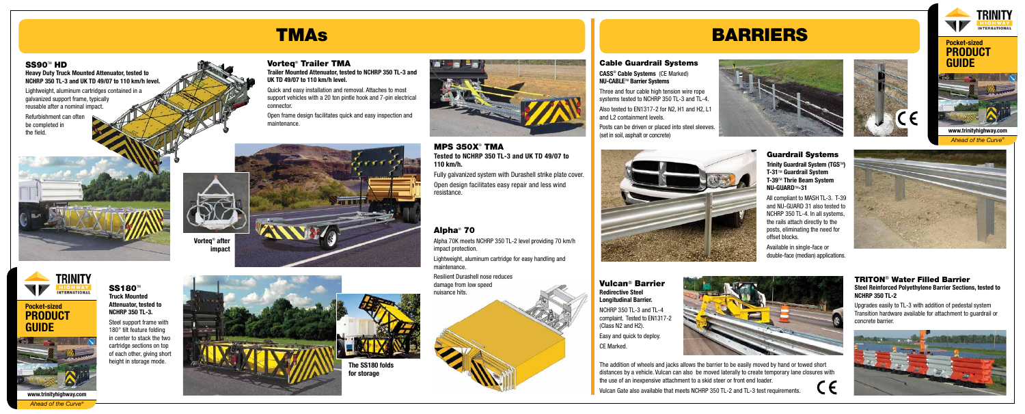## TMAs BARRIERS

**Heavy Duty Truck Mounted Attenuator, tested to NCHRP 350 TL-3 and UK TD 49/07 to 110 km/h level.**

Lightweight, aluminum cartridges contained in a

#### **SS180™ Truck Mounted Attenuator, tested to NCHRP 350 TL-3.**

galvanized support frame, typically reusable after a nominal impact.

Refurbishment can often

be completed in the field.

> Steel support frame with 180° tilt feature folding in center to stack the two cartridge sections on top of each other, giving short height in storage mode.

#### Vorteq® Trailer TMA

**Trailer Mounted Attenuator, tested to NCHRP 350 TL-3 and UK TD 49/07 to 110 km/h level.**

Quick and easy installation and removal. Attaches to most support vehicles with a 20 ton pintle hook and 7-pin electrical connector.

> **Trinity Guardrail System (TGS™) T-31**TM **Guardrail System T-39**TM **Thrie Beam System NU-GUARD**TM**-31**

Open frame design facilitates quick and easy inspection and maintenance.



#### MPS 350X® TMA **Tested to NCHRP 350 TL-3 and UK TD 49/07 to 110 km/h.**

Fully galvanized system with Durashell strike plate cover. Open design facilitates easy repair and less wind resistance.

#### Alpha® 70

Alpha 70K meets NCHRP 350 TL-2 level providing 70 km/h impact protection.

Lightweight, aluminum cartridge for easy handling and maintenance.

Resilient Durashell nose reduces









**impact**



SS90<sup>™</sup> HD



#### Guardrail Systems

All compliant to MASH TL-3. T-39 and NU-GUARD 31 also tested to NCHRP 350 TL-4. In all systems, the rails attach directly to the posts, eliminating the need for offset blocks.

Available in single-face or double-face (median) applications.





The addition of wheels and jacks allows the barrier to be easily moved by hand or towed short distances by a vehicle. Vulcan can also be moved laterally to create temporary lane closures with the use of an inexpensive attachment to a skid steer or front end loader.

Vulcan Gate also available that meets NCHRP 350 TL-2 and TL-3 test requirements.

#### Vulcan® Barrier **Redirective Steel Longitudinal Barrier.**

NCHRP 350 TL-3 and TL-4 complaint. Tested to EN1317-2 (Class N2 and H2).

Easy and quick to deploy. CE Marked.



#### TRITON® Water Filled Barrier **Steel Reinforced Polyethylene Barrier Sections, tested to NCHRP 350 TL-2**

Upgrades easily to TL-3 with addition of pedestal system Transition hardware available for attachment to guardrail or concrete barrier.



#### Cable Guardrail Systems

**CASS**® **Cable Systems** (CE Marked) **NU-CABLE**TM **Barrier Systems**

Three and four cable high tension wire rope systems tested to NCHRP 350 TL-3 and TL-4.

Also tested to EN1317-2 for N2, H1 and H2, L1 and L2 containment levels.

Posts can be driven or placed into steel sleeves. (set in soil, asphalt or concrete)



### **Pocket-sized PRODUCT GUIDE**



*Ahead of the Curve®*

### **Pocket-sized PRODUCT GUIDE**



**www.trinityhighway.com** *Ahead of the Curve®*